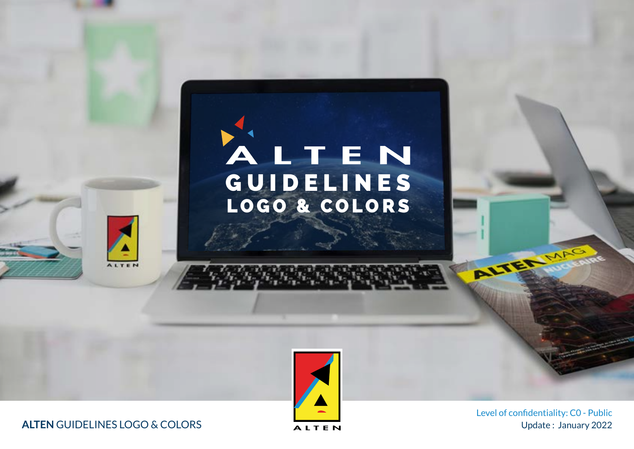# G U I D E L I N E S LOGO & COLORS





ALTEN GUIDELINES LOGO & COLORS ALTEN

Update: January 2022 Level of confidentiality: C0 - Public

ALTER MARS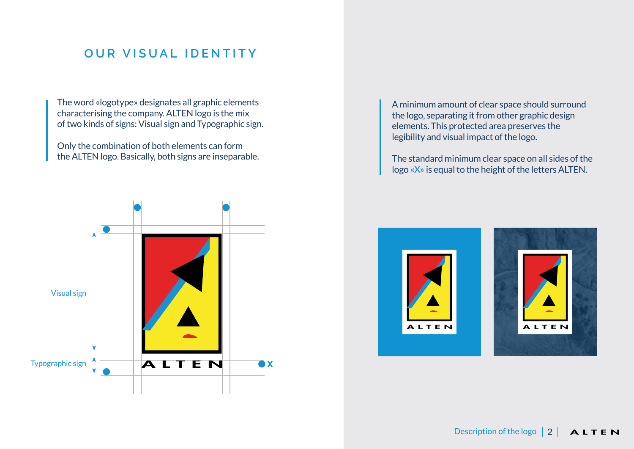#### **OUR VISUAL IDENTITY**

The word «logotype» designates all graphic elements characterising the company. ALTEN logo is the mix of two kinds of signs: Visual sign and Typographic sign.

Only the combination of both elements can form the ALTEN logo. Basically, both signs are inseparable.



A minimum amount of clear space should surround the logo, separating it from other graphic design elements. This protected area preserves the legibility and visual impact of the logo.

The standard minimum clear space on all sides of the logo **«X»** is equal to the height of the letters ALTEN.

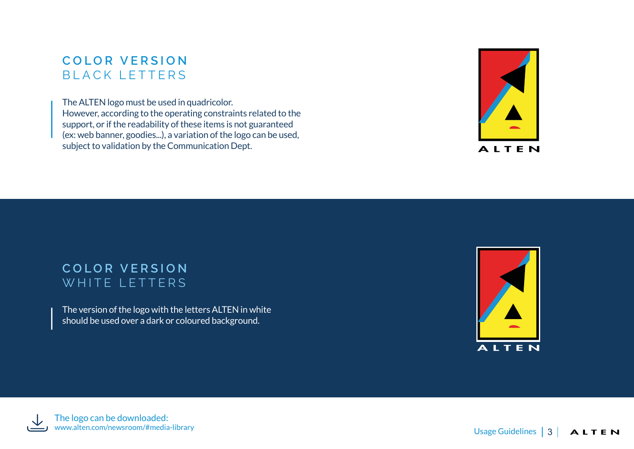## **COLOR VERSION** BLACK LETTERS

The ALTEN logo must be used in quadricolor.

However, according to the operating constraints related to the support, or if the readability of these items is not guaranteed (ex: web banner, goodies...), a variation of the logo can be used, subject to validation by the Communication Dept.



#### **COLOR VERSION** WHITE LETTERS

The version of the logo with the letters ALTEN in white should be used over a dark or coloured background.



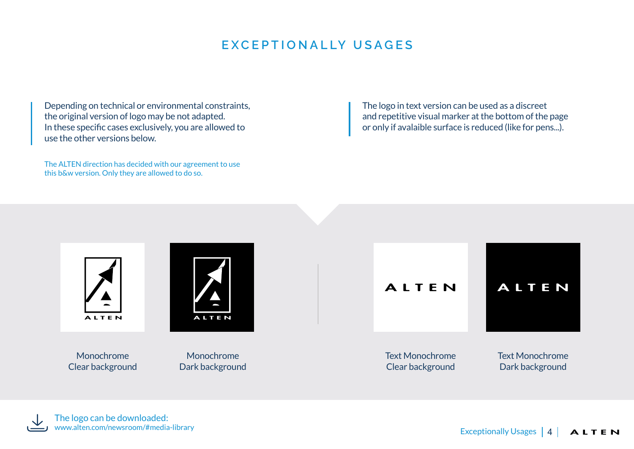## **EXCEPTIONALLY USAGES**

Depending on technical or environmental constraints, the original version of logo may be not adapted. In these specific cases exclusively, you are allowed to use the other versions below.

The ALTEN direction has decided with our agreement to use this b&w version. Only they are allowed to do so.

The logo in text version can be used as a discreet and repetitive visual marker at the bottom of the page or only if avalaible surface is reduced (like for pens...).

ALTEN



Monochrome Clear background

Monochrome Dark background

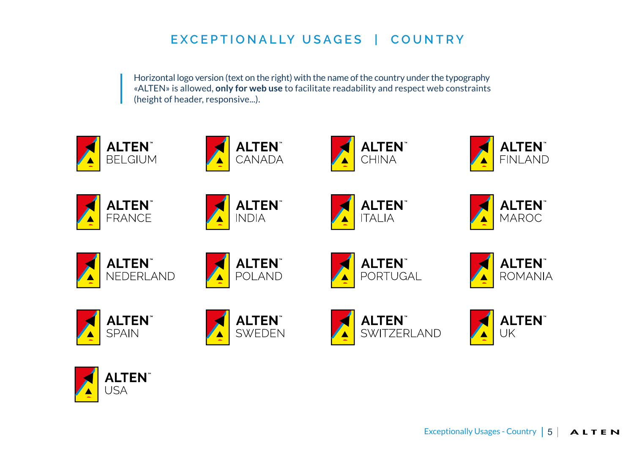# **EXCEPTIONALLY USAGES | COUNTRY**

Horizontal logo version (text on the right) with the name of the country under the typography «ALTEN» is allowed, **only for web use** to facilitate readability and respect web constraints (height of header, responsive...).



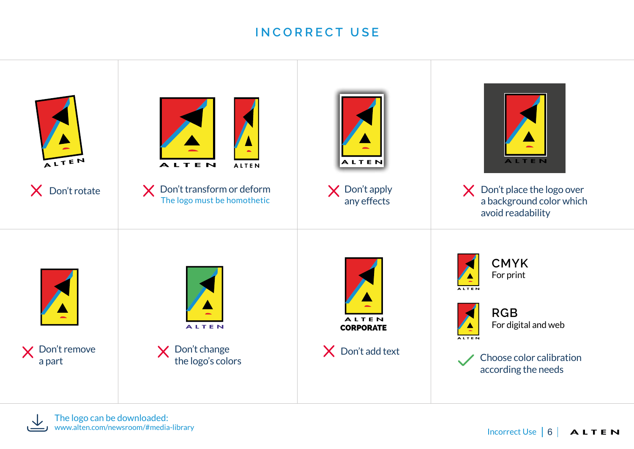#### **INCORRECT USE**

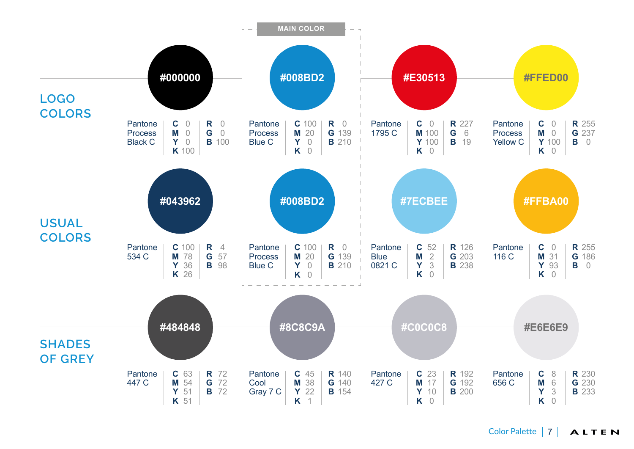

Color Palette | 7 ALTEN